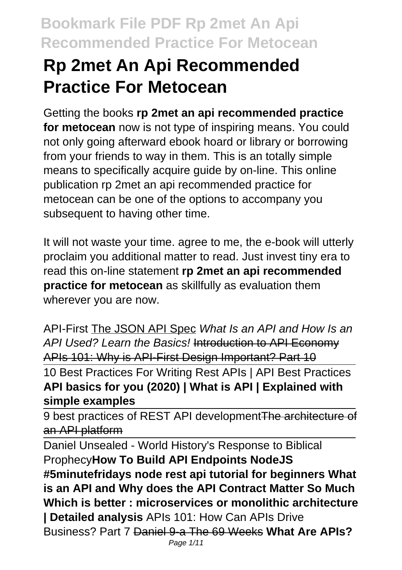# **Rp 2met An Api Recommended Practice For Metocean**

Getting the books **rp 2met an api recommended practice for metocean** now is not type of inspiring means. You could not only going afterward ebook hoard or library or borrowing from your friends to way in them. This is an totally simple means to specifically acquire guide by on-line. This online publication rp 2met an api recommended practice for metocean can be one of the options to accompany you subsequent to having other time.

It will not waste your time. agree to me, the e-book will utterly proclaim you additional matter to read. Just invest tiny era to read this on-line statement **rp 2met an api recommended practice for metocean** as skillfully as evaluation them wherever you are now.

API-First The JSON API Spec What Is an API and How Is an API Used? Learn the Basics! Introduction to API Economy APIs 101: Why is API-First Design Important? Part 10

10 Best Practices For Writing Rest APIs | API Best Practices **API basics for you (2020) | What is API | Explained with simple examples**

9 best practices of REST API developmentThe architecture of an API platform

Daniel Unsealed - World History's Response to Biblical Prophecy**How To Build API Endpoints NodeJS #5minutefridays node rest api tutorial for beginners What is an API and Why does the API Contract Matter So Much Which is better : microservices or monolithic architecture | Detailed analysis** APIs 101: How Can APIs Drive Business? Part 7 Daniel 9-a The 69 Weeks **What Are APIs?**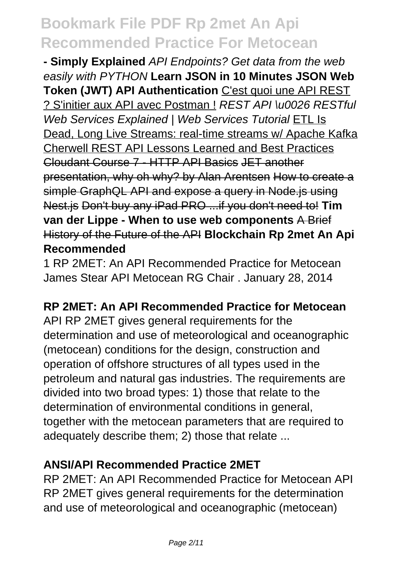**- Simply Explained** API Endpoints? Get data from the web easily with PYTHON **Learn JSON in 10 Minutes JSON Web Token (JWT) API Authentication** C'est quoi une API REST ? S'initier aux API avec Postman ! REST API \u0026 RESTful Web Services Explained | Web Services Tutorial ETL Is Dead, Long Live Streams: real-time streams w/ Apache Kafka Cherwell REST API Lessons Learned and Best Practices Cloudant Course 7 - HTTP API Basics JET another presentation, why oh why? by Alan Arentsen How to create a simple GraphQL API and expose a query in Node.js using Nest.js Don't buy any iPad PRO ...if you don't need to! **Tim van der Lippe - When to use web components** A Brief History of the Future of the API **Blockchain Rp 2met An Api Recommended**

1 RP 2MET: An API Recommended Practice for Metocean James Stear API Metocean RG Chair . January 28, 2014

#### **RP 2MET: An API Recommended Practice for Metocean**

API RP 2MET gives general requirements for the determination and use of meteorological and oceanographic (metocean) conditions for the design, construction and operation of offshore structures of all types used in the petroleum and natural gas industries. The requirements are divided into two broad types: 1) those that relate to the determination of environmental conditions in general, together with the metocean parameters that are required to adequately describe them; 2) those that relate ...

#### **ANSI/API Recommended Practice 2MET**

RP 2MET: An API Recommended Practice for Metocean API RP 2MET gives general requirements for the determination and use of meteorological and oceanographic (metocean)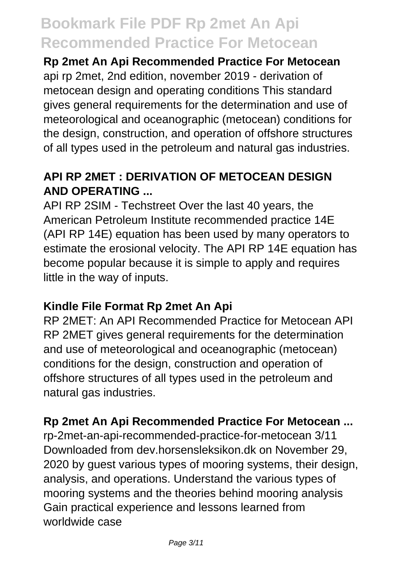**Rp 2met An Api Recommended Practice For Metocean** api rp 2met, 2nd edition, november 2019 - derivation of metocean design and operating conditions This standard gives general requirements for the determination and use of meteorological and oceanographic (metocean) conditions for the design, construction, and operation of offshore structures of all types used in the petroleum and natural gas industries.

### **API RP 2MET : DERIVATION OF METOCEAN DESIGN AND OPERATING ...**

API RP 2SIM - Techstreet Over the last 40 years, the American Petroleum Institute recommended practice 14E (API RP 14E) equation has been used by many operators to estimate the erosional velocity. The API RP 14E equation has become popular because it is simple to apply and requires little in the way of inputs.

### **Kindle File Format Rp 2met An Api**

RP 2MET: An API Recommended Practice for Metocean API RP 2MET gives general requirements for the determination and use of meteorological and oceanographic (metocean) conditions for the design, construction and operation of offshore structures of all types used in the petroleum and natural gas industries.

#### **Rp 2met An Api Recommended Practice For Metocean ...**

rp-2met-an-api-recommended-practice-for-metocean 3/11 Downloaded from dev.horsensleksikon.dk on November 29, 2020 by guest various types of mooring systems, their design, analysis, and operations. Understand the various types of mooring systems and the theories behind mooring analysis Gain practical experience and lessons learned from worldwide case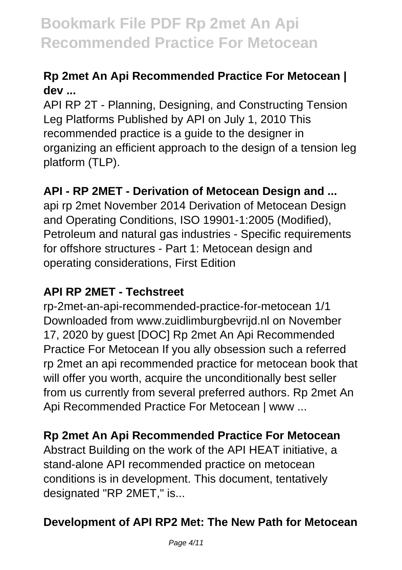### **Rp 2met An Api Recommended Practice For Metocean | dev ...**

API RP 2T - Planning, Designing, and Constructing Tension Leg Platforms Published by API on July 1, 2010 This recommended practice is a guide to the designer in organizing an efficient approach to the design of a tension leg platform (TLP).

### **API - RP 2MET - Derivation of Metocean Design and ...**

api rp 2met November 2014 Derivation of Metocean Design and Operating Conditions, ISO 19901-1:2005 (Modified), Petroleum and natural gas industries - Specific requirements for offshore structures - Part 1: Metocean design and operating considerations, First Edition

### **API RP 2MET - Techstreet**

rp-2met-an-api-recommended-practice-for-metocean 1/1 Downloaded from www.zuidlimburgbevrijd.nl on November 17, 2020 by guest [DOC] Rp 2met An Api Recommended Practice For Metocean If you ally obsession such a referred rp 2met an api recommended practice for metocean book that will offer you worth, acquire the unconditionally best seller from us currently from several preferred authors. Rp 2met An Api Recommended Practice For Metocean | www ...

### **Rp 2met An Api Recommended Practice For Metocean**

Abstract Building on the work of the API HEAT initiative, a stand-alone API recommended practice on metocean conditions is in development. This document, tentatively designated "RP 2MET," is...

### **Development of API RP2 Met: The New Path for Metocean**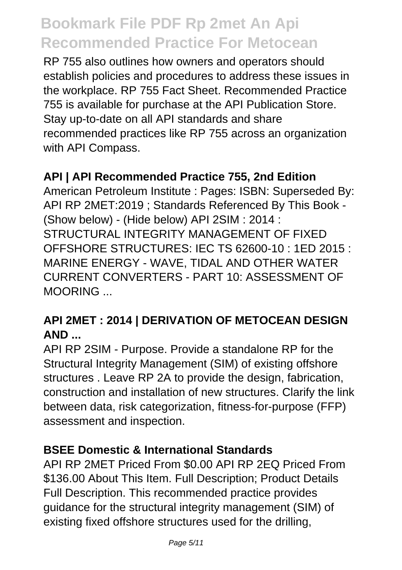RP 755 also outlines how owners and operators should establish policies and procedures to address these issues in the workplace. RP 755 Fact Sheet. Recommended Practice 755 is available for purchase at the API Publication Store. Stay up-to-date on all API standards and share recommended practices like RP 755 across an organization with API Compass.

#### **API | API Recommended Practice 755, 2nd Edition**

American Petroleum Institute : Pages: ISBN: Superseded By: API RP 2MET:2019 ; Standards Referenced By This Book - (Show below) - (Hide below) API 2SIM : 2014 : STRUCTURAL INTEGRITY MANAGEMENT OF FIXED OFFSHORE STRUCTURES: IEC TS 62600-10 : 1ED 2015 : MARINE ENERGY - WAVE, TIDAL AND OTHER WATER CURRENT CONVERTERS - PART 10: ASSESSMENT OF MOORING ...

### **API 2MET : 2014 | DERIVATION OF METOCEAN DESIGN AND ...**

API RP 2SIM - Purpose. Provide a standalone RP for the Structural Integrity Management (SIM) of existing offshore structures . Leave RP 2A to provide the design, fabrication, construction and installation of new structures. Clarify the link between data, risk categorization, fitness-for-purpose (FFP) assessment and inspection.

#### **BSEE Domestic & International Standards**

API RP 2MET Priced From \$0.00 API RP 2EQ Priced From \$136.00 About This Item. Full Description; Product Details Full Description. This recommended practice provides guidance for the structural integrity management (SIM) of existing fixed offshore structures used for the drilling,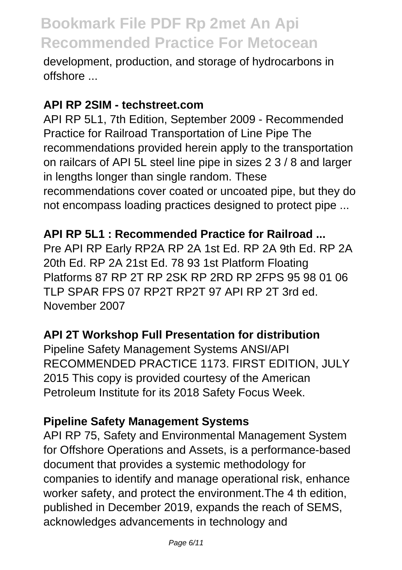development, production, and storage of hydrocarbons in offshore ...

#### **API RP 2SIM - techstreet.com**

API RP 5L1, 7th Edition, September 2009 - Recommended Practice for Railroad Transportation of Line Pipe The recommendations provided herein apply to the transportation on railcars of API 5L steel line pipe in sizes 2 3 / 8 and larger in lengths longer than single random. These recommendations cover coated or uncoated pipe, but they do not encompass loading practices designed to protect pipe ...

#### **API RP 5L1 : Recommended Practice for Railroad ...**

Pre API RP Early RP2A RP 2A 1st Ed. RP 2A 9th Ed. RP 2A 20th Ed. RP 2A 21st Ed. 78 93 1st Platform Floating Platforms 87 RP 2T RP 2SK RP 2RD RP 2FPS 95 98 01 06 TLP SPAR FPS 07 RP2T RP2T 97 API RP 2T 3rd ed. November 2007

#### **API 2T Workshop Full Presentation for distribution**

Pipeline Safety Management Systems ANSI/API RECOMMENDED PRACTICE 1173. FIRST EDITION, JULY 2015 This copy is provided courtesy of the American Petroleum Institute for its 2018 Safety Focus Week.

#### **Pipeline Safety Management Systems**

API RP 75, Safety and Environmental Management System for Offshore Operations and Assets, is a performance-based document that provides a systemic methodology for companies to identify and manage operational risk, enhance worker safety, and protect the environment.The 4 th edition, published in December 2019, expands the reach of SEMS, acknowledges advancements in technology and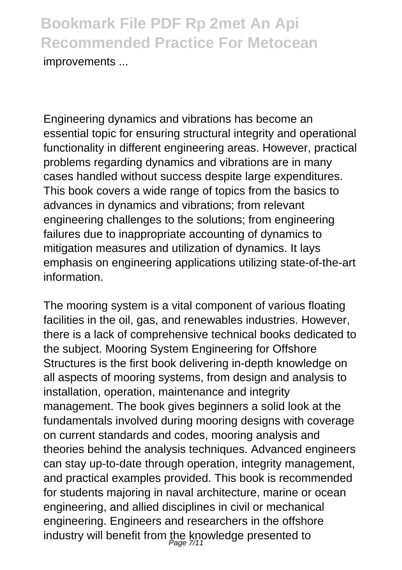**Bookmark File PDF Rp 2met An Api Recommended Practice For Metocean** improvements ...

Engineering dynamics and vibrations has become an essential topic for ensuring structural integrity and operational functionality in different engineering areas. However, practical problems regarding dynamics and vibrations are in many cases handled without success despite large expenditures. This book covers a wide range of topics from the basics to advances in dynamics and vibrations; from relevant engineering challenges to the solutions; from engineering failures due to inappropriate accounting of dynamics to mitigation measures and utilization of dynamics. It lays emphasis on engineering applications utilizing state-of-the-art information.

The mooring system is a vital component of various floating facilities in the oil, gas, and renewables industries. However, there is a lack of comprehensive technical books dedicated to the subject. Mooring System Engineering for Offshore Structures is the first book delivering in-depth knowledge on all aspects of mooring systems, from design and analysis to installation, operation, maintenance and integrity management. The book gives beginners a solid look at the fundamentals involved during mooring designs with coverage on current standards and codes, mooring analysis and theories behind the analysis techniques. Advanced engineers can stay up-to-date through operation, integrity management, and practical examples provided. This book is recommended for students majoring in naval architecture, marine or ocean engineering, and allied disciplines in civil or mechanical engineering. Engineers and researchers in the offshore industry will benefit from the knowledge presented to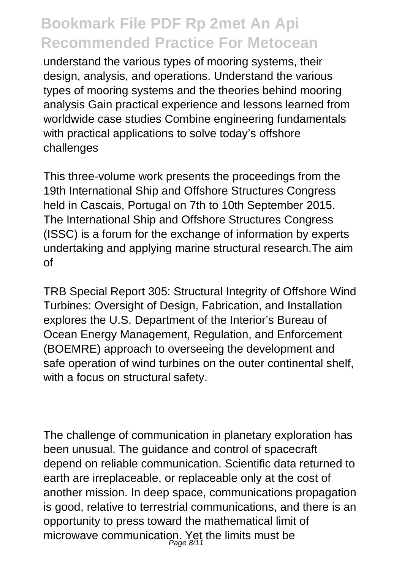understand the various types of mooring systems, their design, analysis, and operations. Understand the various types of mooring systems and the theories behind mooring analysis Gain practical experience and lessons learned from worldwide case studies Combine engineering fundamentals with practical applications to solve today's offshore challenges

This three-volume work presents the proceedings from the 19th International Ship and Offshore Structures Congress held in Cascais, Portugal on 7th to 10th September 2015. The International Ship and Offshore Structures Congress (ISSC) is a forum for the exchange of information by experts undertaking and applying marine structural research.The aim of

TRB Special Report 305: Structural Integrity of Offshore Wind Turbines: Oversight of Design, Fabrication, and Installation explores the U.S. Department of the Interior's Bureau of Ocean Energy Management, Regulation, and Enforcement (BOEMRE) approach to overseeing the development and safe operation of wind turbines on the outer continental shelf, with a focus on structural safety.

The challenge of communication in planetary exploration has been unusual. The guidance and control of spacecraft depend on reliable communication. Scientific data returned to earth are irreplaceable, or replaceable only at the cost of another mission. In deep space, communications propagation is good, relative to terrestrial communications, and there is an opportunity to press toward the mathematical limit of microwave communication. Yet the limits must be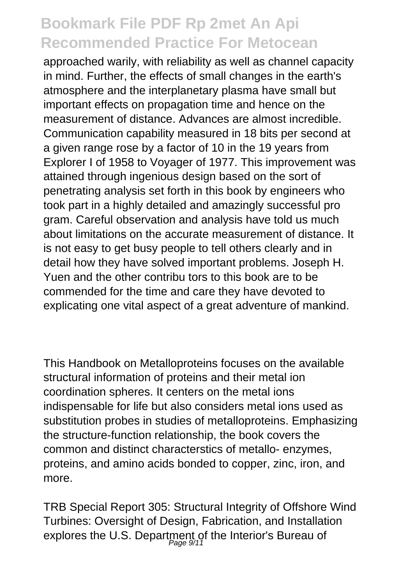approached warily, with reliability as well as channel capacity in mind. Further, the effects of small changes in the earth's atmosphere and the interplanetary plasma have small but important effects on propagation time and hence on the measurement of distance. Advances are almost incredible. Communication capability measured in 18 bits per second at a given range rose by a factor of 10 in the 19 years from Explorer I of 1958 to Voyager of 1977. This improvement was attained through ingenious design based on the sort of penetrating analysis set forth in this book by engineers who took part in a highly detailed and amazingly successful pro gram. Careful observation and analysis have told us much about limitations on the accurate measurement of distance. It is not easy to get busy people to tell others clearly and in detail how they have solved important problems. Joseph H. Yuen and the other contribu tors to this book are to be commended for the time and care they have devoted to explicating one vital aspect of a great adventure of mankind.

This Handbook on Metalloproteins focuses on the available structural information of proteins and their metal ion coordination spheres. It centers on the metal ions indispensable for life but also considers metal ions used as substitution probes in studies of metalloproteins. Emphasizing the structure-function relationship, the book covers the common and distinct characterstics of metallo- enzymes, proteins, and amino acids bonded to copper, zinc, iron, and more.

TRB Special Report 305: Structural Integrity of Offshore Wind Turbines: Oversight of Design, Fabrication, and Installation explores the U.S. Department of the Interior's Bureau of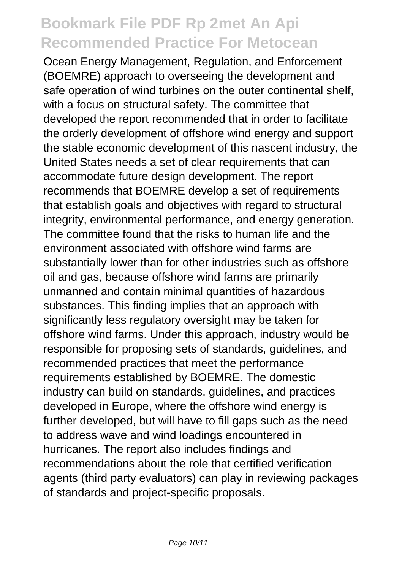Ocean Energy Management, Regulation, and Enforcement (BOEMRE) approach to overseeing the development and safe operation of wind turbines on the outer continental shelf, with a focus on structural safety. The committee that developed the report recommended that in order to facilitate the orderly development of offshore wind energy and support the stable economic development of this nascent industry, the United States needs a set of clear requirements that can accommodate future design development. The report recommends that BOEMRE develop a set of requirements that establish goals and objectives with regard to structural integrity, environmental performance, and energy generation. The committee found that the risks to human life and the environment associated with offshore wind farms are substantially lower than for other industries such as offshore oil and gas, because offshore wind farms are primarily unmanned and contain minimal quantities of hazardous substances. This finding implies that an approach with significantly less regulatory oversight may be taken for offshore wind farms. Under this approach, industry would be responsible for proposing sets of standards, guidelines, and recommended practices that meet the performance requirements established by BOEMRE. The domestic industry can build on standards, guidelines, and practices developed in Europe, where the offshore wind energy is further developed, but will have to fill gaps such as the need to address wave and wind loadings encountered in hurricanes. The report also includes findings and recommendations about the role that certified verification agents (third party evaluators) can play in reviewing packages of standards and project-specific proposals.